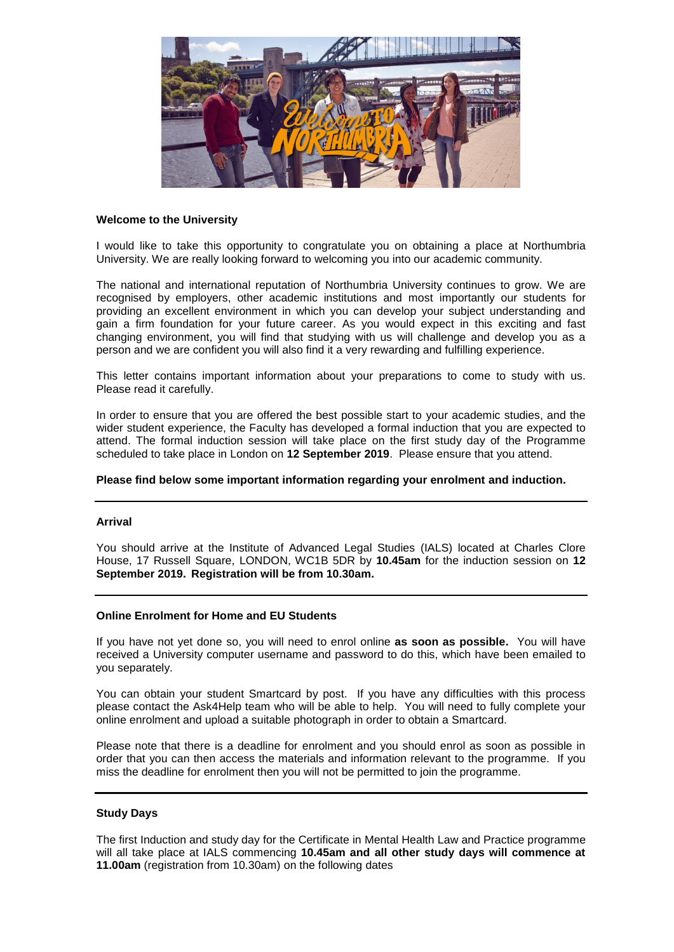

# **Welcome to the University**

I would like to take this opportunity to congratulate you on obtaining a place at Northumbria University. We are really looking forward to welcoming you into our academic community.

The national and international reputation of Northumbria University continues to grow. We are recognised by employers, other academic institutions and most importantly our students for providing an excellent environment in which you can develop your subject understanding and gain a firm foundation for your future career. As you would expect in this exciting and fast changing environment, you will find that studying with us will challenge and develop you as a person and we are confident you will also find it a very rewarding and fulfilling experience.

This letter contains important information about your preparations to come to study with us. Please read it carefully.

In order to ensure that you are offered the best possible start to your academic studies, and the wider student experience, the Faculty has developed a formal induction that you are expected to attend. The formal induction session will take place on the first study day of the Programme scheduled to take place in London on **12 September 2019**. Please ensure that you attend.

## **Please find below some important information regarding your enrolment and induction.**

#### **Arrival**

You should arrive at the Institute of Advanced Legal Studies (IALS) located at Charles Clore House, 17 Russell Square, LONDON, WC1B 5DR by **10.45am** for the induction session on **12 September 2019. Registration will be from 10.30am.** 

#### **Online Enrolment for Home and EU Students**

If you have not yet done so, you will need to enrol online **as soon as possible.** You will have received a University computer username and password to do this, which have been emailed to you separately.

You can obtain your student Smartcard by post. If you have any difficulties with this process please contact the Ask4Help team who will be able to help. You will need to fully complete your online enrolment and upload a suitable photograph in order to obtain a Smartcard.

Please note that there is a deadline for enrolment and you should enrol as soon as possible in order that you can then access the materials and information relevant to the programme. If you miss the deadline for enrolment then you will not be permitted to join the programme.

### **Study Days**

The first Induction and study day for the Certificate in Mental Health Law and Practice programme will all take place at IALS commencing **10.45am and all other study days will commence at 11.00am** (registration from 10.30am) on the following dates